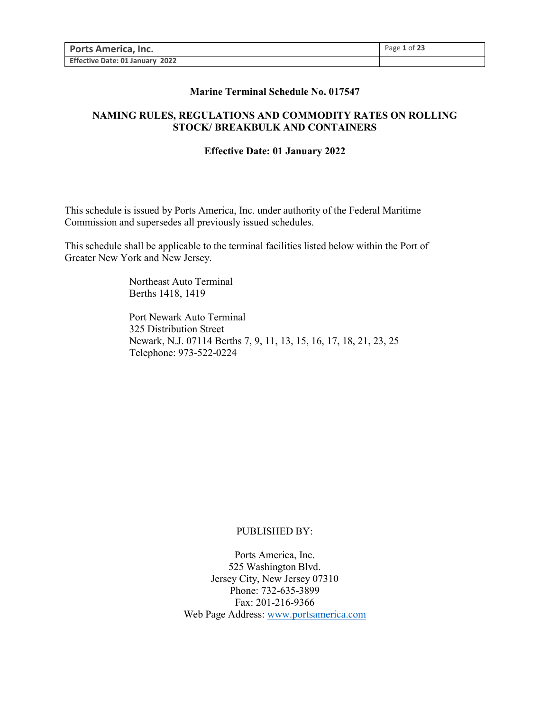| <b>Ports America, Inc.</b>      | Page 1 of 23 |
|---------------------------------|--------------|
| Effective Date: 01 January 2022 |              |

#### **Marine Terminal Schedule No. 017547**

### **NAMING RULES, REGULATIONS AND COMMODITY RATES ON ROLLING STOCK/ BREAKBULK AND CONTAINERS**

#### **Effective Date: 01 January 2022**

This schedule is issued by Ports America, Inc. under authority of the Federal Maritime Commission and supersedes all previously issued schedules.

This schedule shall be applicable to the terminal facilities listed below within the Port of Greater New York and New Jersey.

> Northeast Auto Terminal Berths 1418, 1419

Port Newark Auto Terminal 325 Distribution Street Newark, N.J. 07114 Berths 7, 9, 11, 13, 15, 16, 17, 18, 21, 23, 25 Telephone: 973-522-0224

#### PUBLISHED BY:

Ports America, Inc. 525 Washington Blvd. Jersey City, New Jersey 07310 Phone: 732-635-3899 Fax: 201-216-9366 Web Page Address: [www.portsamerica.com](http://www.portsamerica.com/)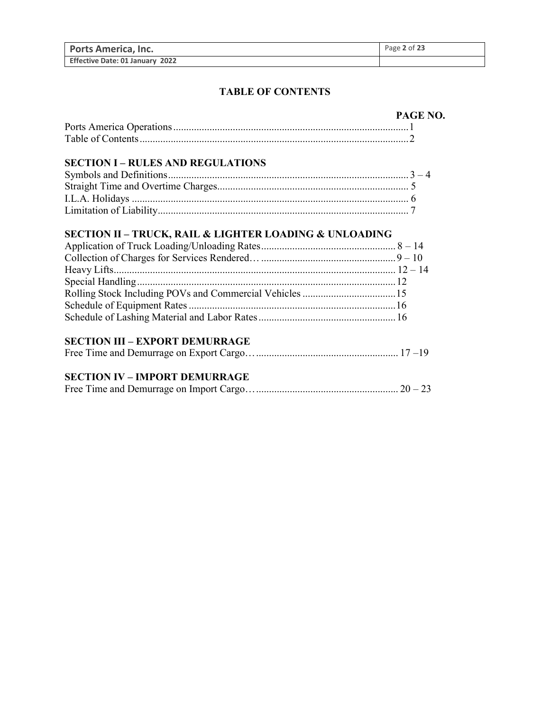| <b>Ports America, Inc.</b>      | Page 2 of 23 |
|---------------------------------|--------------|
| Effective Date: 01 January 2022 |              |

### **TABLE OF CONTENTS**

| PAGE NO. |
|----------|
|          |
|          |

### **SECTION I – RULES AND REGULATIONS**

# **SECTION II – TRUCK, RAIL & LIGHTER LOADING & UNLOADING**

# **SECTION III – EXPORT DEMURRAGE**

|--|--|--|--|

# **SECTION IV – IMPORT DEMURRAGE**

|--|--|--|--|--|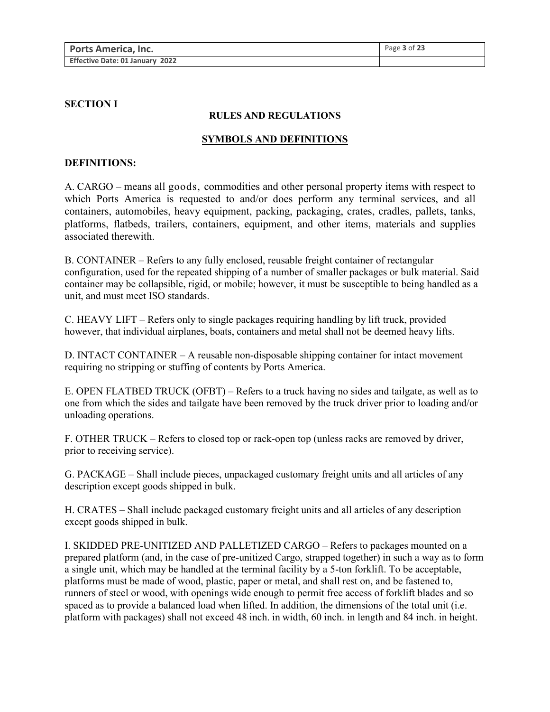| <b>Ports America, Inc.</b>      | Page $3$ of $23$ |
|---------------------------------|------------------|
| Effective Date: 01 January 2022 |                  |

#### **SECTION I**

#### **RULES AND REGULATIONS**

#### **SYMBOLS AND DEFINITIONS**

#### **DEFINITIONS:**

A. CARGO – means all goods, commodities and other personal property items with respect to which Ports America is requested to and/or does perform any terminal services, and all containers, automobiles, heavy equipment, packing, packaging, crates, cradles, pallets, tanks, platforms, flatbeds, trailers, containers, equipment, and other items, materials and supplies associated therewith.

B. CONTAINER – Refers to any fully enclosed, reusable freight container of rectangular configuration, used for the repeated shipping of a number of smaller packages or bulk material. Said container may be collapsible, rigid, or mobile; however, it must be susceptible to being handled as a unit, and must meet ISO standards.

C. HEAVY LIFT – Refers only to single packages requiring handling by lift truck, provided however, that individual airplanes, boats, containers and metal shall not be deemed heavy lifts.

D. INTACT CONTAINER – A reusable non-disposable shipping container for intact movement requiring no stripping or stuffing of contents by Ports America.

E. OPEN FLATBED TRUCK (OFBT) – Refers to a truck having no sides and tailgate, as well as to one from which the sides and tailgate have been removed by the truck driver prior to loading and/or unloading operations.

F. OTHER TRUCK – Refers to closed top or rack-open top (unless racks are removed by driver, prior to receiving service).

G. PACKAGE – Shall include pieces, unpackaged customary freight units and all articles of any description except goods shipped in bulk.

H. CRATES – Shall include packaged customary freight units and all articles of any description except goods shipped in bulk.

I. SKIDDED PRE-UNITIZED AND PALLETIZED CARGO – Refers to packages mounted on a prepared platform (and, in the case of pre-unitized Cargo, strapped together) in such a way as to form a single unit, which may be handled at the terminal facility by a 5-ton forklift. To be acceptable, platforms must be made of wood, plastic, paper or metal, and shall rest on, and be fastened to, runners of steel or wood, with openings wide enough to permit free access of forklift blades and so spaced as to provide a balanced load when lifted. In addition, the dimensions of the total unit (i.e. platform with packages) shall not exceed 48 inch. in width, 60 inch. in length and 84 inch. in height.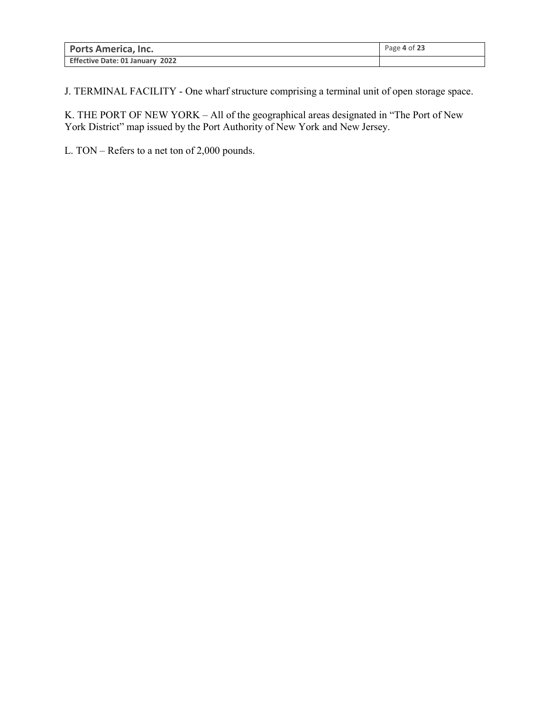| <b>Ports America, Inc.</b>      | Page 4 of 23 |
|---------------------------------|--------------|
| Effective Date: 01 January 2022 |              |

J. TERMINAL FACILITY - One wharf structure comprising a terminal unit of open storage space.

K. THE PORT OF NEW YORK – All of the geographical areas designated in "The Port of New York District" map issued by the Port Authority of New York and New Jersey.

L. TON – Refers to a net ton of 2,000 pounds.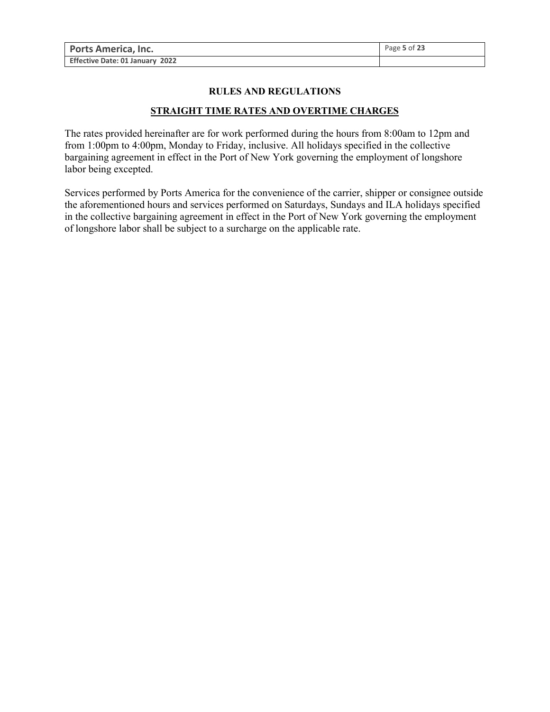| <b>Ports America, Inc.</b>      | Page 5 of 23 |
|---------------------------------|--------------|
| Effective Date: 01 January 2022 |              |

#### **RULES AND REGULATIONS**

## **STRAIGHT TIME RATES AND OVERTIME CHARGES**

The rates provided hereinafter are for work performed during the hours from 8:00am to 12pm and from 1:00pm to 4:00pm, Monday to Friday, inclusive. All holidays specified in the collective bargaining agreement in effect in the Port of New York governing the employment of longshore labor being excepted.

Services performed by Ports America for the convenience of the carrier, shipper or consignee outside the aforementioned hours and services performed on Saturdays, Sundays and ILA holidays specified in the collective bargaining agreement in effect in the Port of New York governing the employment of longshore labor shall be subject to a surcharge on the applicable rate.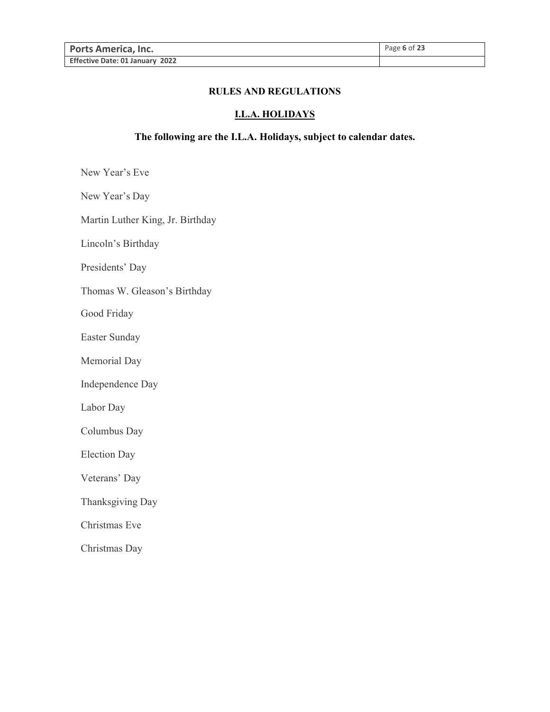#### **RULES AND REGULATIONS**

### **I.L.A. HOLIDAYS**

### **The following are the I.L.A. Holidays, subject to calendar dates.**

New Year's Eve

New Year's Day

Martin Luther King, Jr. Birthday

Lincoln's Birthday

Presidents' Day

Thomas W. Gleason's Birthday

Good Friday

Easter Sunday

Memorial Day

Independence Day

Labor Day

Columbus Day

Election Day

Veterans' Day

Thanksgiving Day

Christmas Eve

Christmas Day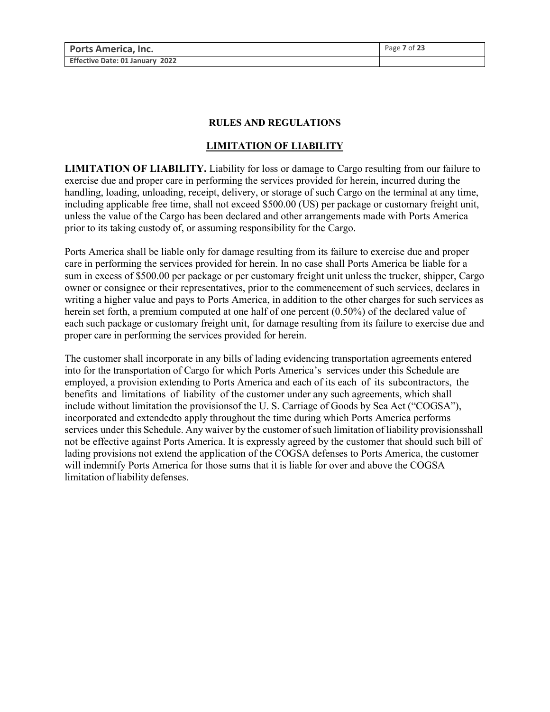#### **RULES AND REGULATIONS**

### **LIMITATION OF LIABILITY**

**LIMITATION OF LIABILITY.** Liability for loss or damage to Cargo resulting from our failure to exercise due and proper care in performing the services provided for herein, incurred during the handling, loading, unloading, receipt, delivery, or storage of such Cargo on the terminal at any time, including applicable free time, shall not exceed \$500.00 (US) per package or customary freight unit, unless the value of the Cargo has been declared and other arrangements made with Ports America prior to its taking custody of, or assuming responsibility for the Cargo.

Ports America shall be liable only for damage resulting from its failure to exercise due and proper care in performing the services provided for herein. In no case shall Ports America be liable for a sum in excess of \$500.00 per package or per customary freight unit unless the trucker, shipper, Cargo owner or consignee or their representatives, prior to the commencement of such services, declares in writing a higher value and pays to Ports America, in addition to the other charges for such services as herein set forth, a premium computed at one half of one percent (0.50%) of the declared value of each such package or customary freight unit, for damage resulting from its failure to exercise due and proper care in performing the services provided for herein.

The customer shall incorporate in any bills of lading evidencing transportation agreements entered into for the transportation of Cargo for which Ports America's services under this Schedule are employed, a provision extending to Ports America and each of its each of its subcontractors, the benefits and limitations of liability of the customer under any such agreements, which shall include without limitation the provisionsof the U. S. Carriage of Goods by Sea Act ("COGSA"), incorporated and extendedto apply throughout the time during which Ports America performs services under this Schedule. Any waiver by the customer of such limitation of liability provisionsshall not be effective against Ports America. It is expressly agreed by the customer that should such bill of lading provisions not extend the application of the COGSA defenses to Ports America, the customer will indemnify Ports America for those sums that it is liable for over and above the COGSA limitation of liability defenses.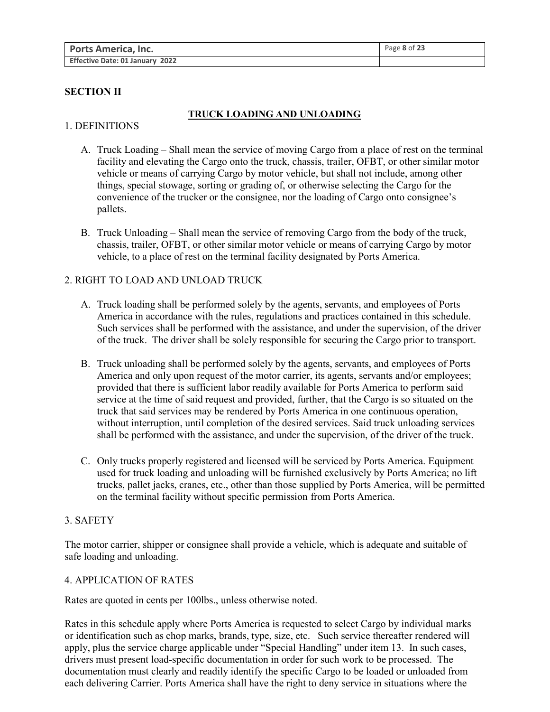| <b>Ports America, Inc.</b>      | Page 8 of 23 |
|---------------------------------|--------------|
| Effective Date: 01 January 2022 |              |

# **SECTION II**

### **TRUCK LOADING AND UNLOADING**

### 1. DEFINITIONS

- A. Truck Loading Shall mean the service of moving Cargo from a place of rest on the terminal facility and elevating the Cargo onto the truck, chassis, trailer, OFBT, or other similar motor vehicle or means of carrying Cargo by motor vehicle, but shall not include, among other things, special stowage, sorting or grading of, or otherwise selecting the Cargo for the convenience of the trucker or the consignee, nor the loading of Cargo onto consignee's pallets.
- B. Truck Unloading Shall mean the service of removing Cargo from the body of the truck, chassis, trailer, OFBT, or other similar motor vehicle or means of carrying Cargo by motor vehicle, to a place of rest on the terminal facility designated by Ports America.

# 2. RIGHT TO LOAD AND UNLOAD TRUCK

- A. Truck loading shall be performed solely by the agents, servants, and employees of Ports America in accordance with the rules, regulations and practices contained in this schedule. Such services shall be performed with the assistance, and under the supervision, of the driver of the truck. The driver shall be solely responsible for securing the Cargo prior to transport.
- B. Truck unloading shall be performed solely by the agents, servants, and employees of Ports America and only upon request of the motor carrier, its agents, servants and/or employees; provided that there is sufficient labor readily available for Ports America to perform said service at the time of said request and provided, further, that the Cargo is so situated on the truck that said services may be rendered by Ports America in one continuous operation, without interruption, until completion of the desired services. Said truck unloading services shall be performed with the assistance, and under the supervision, of the driver of the truck.
- C. Only trucks properly registered and licensed will be serviced by Ports America. Equipment used for truck loading and unloading will be furnished exclusively by Ports America; no lift trucks, pallet jacks, cranes, etc., other than those supplied by Ports America, will be permitted on the terminal facility without specific permission from Ports America.

### 3. SAFETY

The motor carrier, shipper or consignee shall provide a vehicle, which is adequate and suitable of safe loading and unloading.

#### 4. APPLICATION OF RATES

Rates are quoted in cents per 100lbs., unless otherwise noted.

Rates in this schedule apply where Ports America is requested to select Cargo by individual marks or identification such as chop marks, brands, type, size, etc. Such service thereafter rendered will apply, plus the service charge applicable under "Special Handling" under item 13. In such cases, drivers must present load-specific documentation in order for such work to be processed. The documentation must clearly and readily identify the specific Cargo to be loaded or unloaded from each delivering Carrier. Ports America shall have the right to deny service in situations where the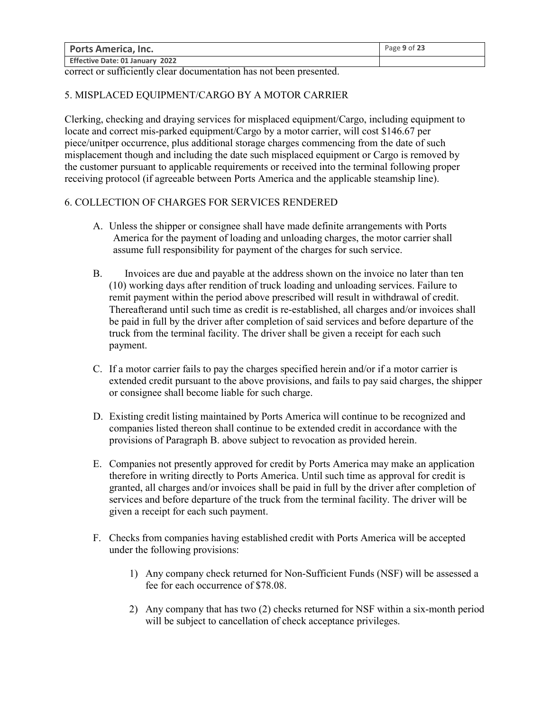| <b>Ports America, Inc.</b>      | Page 9 of 23 |
|---------------------------------|--------------|
| Effective Date: 01 January 2022 |              |

correct or sufficiently clear documentation has not been presented.

### 5. MISPLACED EQUIPMENT/CARGO BY A MOTOR CARRIER

Clerking, checking and draying services for misplaced equipment/Cargo, including equipment to locate and correct mis-parked equipment/Cargo by a motor carrier, will cost \$146.67 per piece/unitper occurrence, plus additional storage charges commencing from the date of such misplacement though and including the date such misplaced equipment or Cargo is removed by the customer pursuant to applicable requirements or received into the terminal following proper receiving protocol (if agreeable between Ports America and the applicable steamship line).

### 6. COLLECTION OF CHARGES FOR SERVICES RENDERED

- A. Unless the shipper or consignee shall have made definite arrangements with Ports America for the payment of loading and unloading charges, the motor carrier shall assume full responsibility for payment of the charges for such service.
- B. Invoices are due and payable at the address shown on the invoice no later than ten (10) working days after rendition of truck loading and unloading services. Failure to remit payment within the period above prescribed will result in withdrawal of credit. Thereafterand until such time as credit is re-established, all charges and/or invoices shall be paid in full by the driver after completion of said services and before departure of the truck from the terminal facility. The driver shall be given a receipt for each such payment.
- C. If a motor carrier fails to pay the charges specified herein and/or if a motor carrier is extended credit pursuant to the above provisions, and fails to pay said charges, the shipper or consignee shall become liable for such charge.
- D. Existing credit listing maintained by Ports America will continue to be recognized and companies listed thereon shall continue to be extended credit in accordance with the provisions of Paragraph B. above subject to revocation as provided herein.
- E. Companies not presently approved for credit by Ports America may make an application therefore in writing directly to Ports America. Until such time as approval for credit is granted, all charges and/or invoices shall be paid in full by the driver after completion of services and before departure of the truck from the terminal facility. The driver will be given a receipt for each such payment.
- F. Checks from companies having established credit with Ports America will be accepted under the following provisions:
	- 1) Any company check returned for Non-Sufficient Funds (NSF) will be assessed a fee for each occurrence of \$78.08.
	- 2) Any company that has two (2) checks returned for NSF within a six-month period will be subject to cancellation of check acceptance privileges.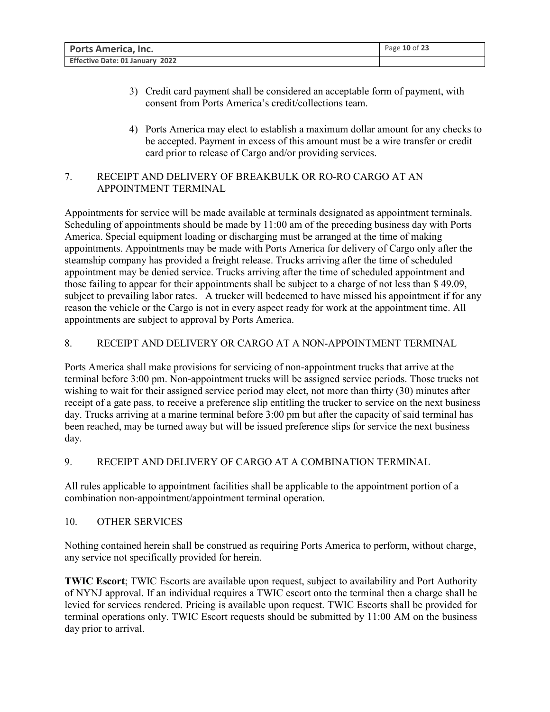| <b>Ports America, Inc.</b>      | Page 10 of 23 |
|---------------------------------|---------------|
| Effective Date: 01 January 2022 |               |

- 3) Credit card payment shall be considered an acceptable form of payment, with consent from Ports America's credit/collections team.
- 4) Ports America may elect to establish a maximum dollar amount for any checks to be accepted. Payment in excess of this amount must be a wire transfer or credit card prior to release of Cargo and/or providing services.

# 7. RECEIPT AND DELIVERY OF BREAKBULK OR RO-RO CARGO AT AN APPOINTMENT TERMINAL

Appointments for service will be made available at terminals designated as appointment terminals. Scheduling of appointments should be made by 11:00 am of the preceding business day with Ports America. Special equipment loading or discharging must be arranged at the time of making appointments. Appointments may be made with Ports America for delivery of Cargo only after the steamship company has provided a freight release. Trucks arriving after the time of scheduled appointment may be denied service. Trucks arriving after the time of scheduled appointment and those failing to appear for their appointments shall be subject to a charge of not less than \$ 49.09, subject to prevailing labor rates. A trucker will bedeemed to have missed his appointment if for any reason the vehicle or the Cargo is not in every aspect ready for work at the appointment time. All appointments are subject to approval by Ports America.

# 8. RECEIPT AND DELIVERY OR CARGO AT A NON-APPOINTMENT TERMINAL

Ports America shall make provisions for servicing of non-appointment trucks that arrive at the terminal before 3:00 pm. Non-appointment trucks will be assigned service periods. Those trucks not wishing to wait for their assigned service period may elect, not more than thirty (30) minutes after receipt of a gate pass, to receive a preference slip entitling the trucker to service on the next business day. Trucks arriving at a marine terminal before 3:00 pm but after the capacity of said terminal has been reached, may be turned away but will be issued preference slips for service the next business day.

# 9. RECEIPT AND DELIVERY OF CARGO AT A COMBINATION TERMINAL

All rules applicable to appointment facilities shall be applicable to the appointment portion of a combination non-appointment/appointment terminal operation.

# 10. OTHER SERVICES

Nothing contained herein shall be construed as requiring Ports America to perform, without charge, any service not specifically provided for herein.

**TWIC Escort**; TWIC Escorts are available upon request, subject to availability and Port Authority of NYNJ approval. If an individual requires a TWIC escort onto the terminal then a charge shall be levied for services rendered. Pricing is available upon request. TWIC Escorts shall be provided for terminal operations only. TWIC Escort requests should be submitted by 11:00 AM on the business day prior to arrival.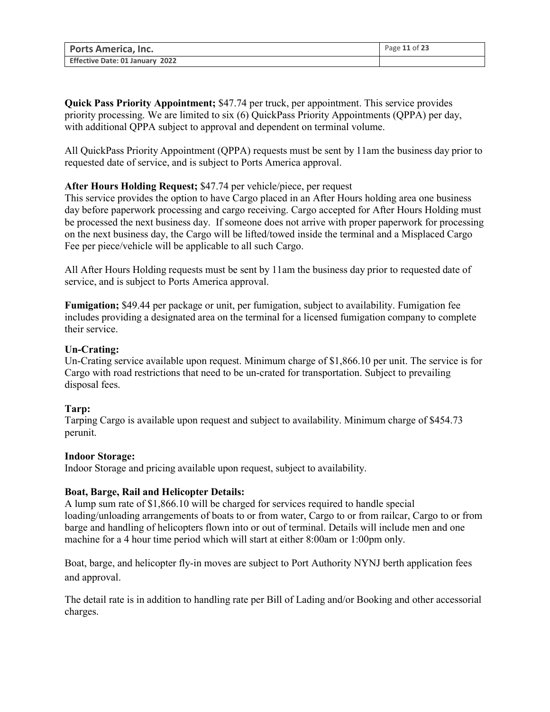| <b>Ports America, Inc.</b>      | Page 11 of 23 |
|---------------------------------|---------------|
| Effective Date: 01 January 2022 |               |

**Quick Pass Priority Appointment;** \$47.74 per truck, per appointment. This service provides priority processing. We are limited to six (6) QuickPass Priority Appointments (QPPA) per day, with additional QPPA subject to approval and dependent on terminal volume.

All QuickPass Priority Appointment (QPPA) requests must be sent by 11am the business day prior to requested date of service, and is subject to Ports America approval.

### **After Hours Holding Request;** \$47.74 per vehicle/piece, per request

This service provides the option to have Cargo placed in an After Hours holding area one business day before paperwork processing and cargo receiving. Cargo accepted for After Hours Holding must be processed the next business day. If someone does not arrive with proper paperwork for processing on the next business day, the Cargo will be lifted/towed inside the terminal and a Misplaced Cargo Fee per piece/vehicle will be applicable to all such Cargo.

All After Hours Holding requests must be sent by 11am the business day prior to requested date of service, and is subject to Ports America approval.

**Fumigation;** \$49.44 per package or unit, per fumigation, subject to availability. Fumigation fee includes providing a designated area on the terminal for a licensed fumigation company to complete their service.

# **Un-Crating:**

Un-Crating service available upon request. Minimum charge of \$1,866.10 per unit. The service is for Cargo with road restrictions that need to be un-crated for transportation. Subject to prevailing disposal fees.

### **Tarp:**

Tarping Cargo is available upon request and subject to availability. Minimum charge of \$454.73 perunit.

### **Indoor Storage:**

Indoor Storage and pricing available upon request, subject to availability.

### **Boat, Barge, Rail and Helicopter Details:**

A lump sum rate of \$1,866.10 will be charged for services required to handle special loading/unloading arrangements of boats to or from water, Cargo to or from railcar, Cargo to or from barge and handling of helicopters flown into or out of terminal. Details will include men and one machine for a 4 hour time period which will start at either 8:00am or 1:00pm only.

Boat, barge, and helicopter fly-in moves are subject to Port Authority NYNJ berth application fees and approval.

The detail rate is in addition to handling rate per Bill of Lading and/or Booking and other accessorial charges.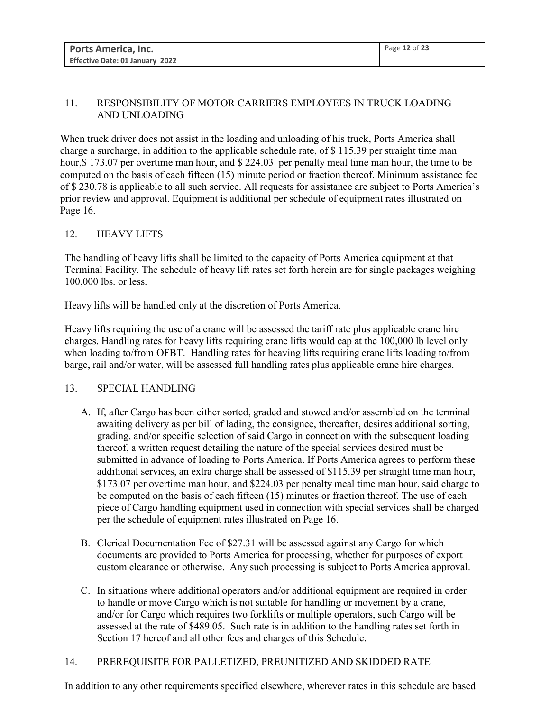| <b>Ports America, Inc.</b>      | Page 12 of 23 |
|---------------------------------|---------------|
| Effective Date: 01 January 2022 |               |

# 11. RESPONSIBILITY OF MOTOR CARRIERS EMPLOYEES IN TRUCK LOADING AND UNLOADING

When truck driver does not assist in the loading and unloading of his truck, Ports America shall charge a surcharge, in addition to the applicable schedule rate, of \$ 115.39 per straight time man hour, \$173.07 per overtime man hour, and \$224.03 per penalty meal time man hour, the time to be computed on the basis of each fifteen (15) minute period or fraction thereof. Minimum assistance fee of \$ 230.78 is applicable to all such service. All requests for assistance are subject to Ports America's prior review and approval. Equipment is additional per schedule of equipment rates illustrated on Page 16.

# 12. HEAVY LIFTS

The handling of heavy lifts shall be limited to the capacity of Ports America equipment at that Terminal Facility. The schedule of heavy lift rates set forth herein are for single packages weighing 100,000 lbs. or less.

Heavy lifts will be handled only at the discretion of Ports America.

Heavy lifts requiring the use of a crane will be assessed the tariff rate plus applicable crane hire charges. Handling rates for heavy lifts requiring crane lifts would cap at the 100,000 lb level only when loading to/from OFBT. Handling rates for heaving lifts requiring crane lifts loading to/from barge, rail and/or water, will be assessed full handling rates plus applicable crane hire charges.

# 13. SPECIAL HANDLING

- A. If, after Cargo has been either sorted, graded and stowed and/or assembled on the terminal awaiting delivery as per bill of lading, the consignee, thereafter, desires additional sorting, grading, and/or specific selection of said Cargo in connection with the subsequent loading thereof, a written request detailing the nature of the special services desired must be submitted in advance of loading to Ports America. If Ports America agrees to perform these additional services, an extra charge shall be assessed of \$115.39 per straight time man hour, \$173.07 per overtime man hour, and \$224.03 per penalty meal time man hour, said charge to be computed on the basis of each fifteen (15) minutes or fraction thereof. The use of each piece of Cargo handling equipment used in connection with special services shall be charged per the schedule of equipment rates illustrated on Page 16.
- B. Clerical Documentation Fee of \$27.31 will be assessed against any Cargo for which documents are provided to Ports America for processing, whether for purposes of export custom clearance or otherwise. Any such processing is subject to Ports America approval.
- C. In situations where additional operators and/or additional equipment are required in order to handle or move Cargo which is not suitable for handling or movement by a crane, and/or for Cargo which requires two forklifts or multiple operators, such Cargo will be assessed at the rate of \$489.05. Such rate is in addition to the handling rates set forth in Section 17 hereof and all other fees and charges of this Schedule.

# 14. PREREQUISITE FOR PALLETIZED, PREUNITIZED AND SKIDDED RATE

In addition to any other requirements specified elsewhere, wherever rates in this schedule are based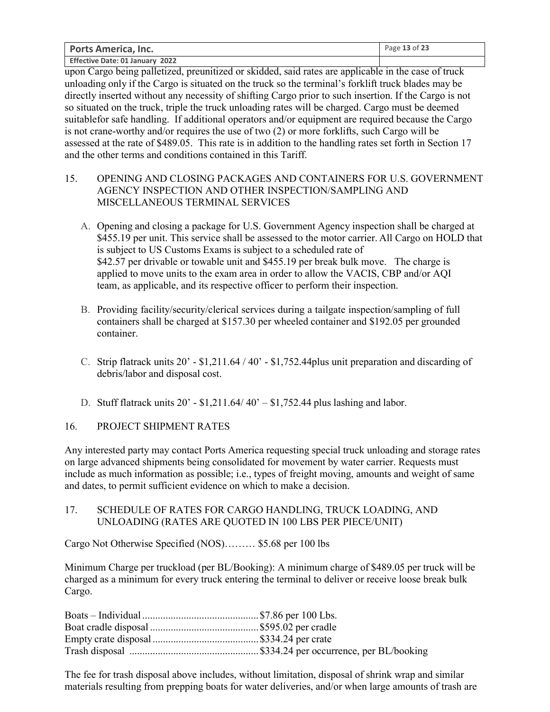| <b>Ports America, Inc.</b>      | Page 13 of 23 |
|---------------------------------|---------------|
| Effective Date: 01 January 2022 |               |

upon Cargo being palletized, preunitized or skidded, said rates are applicable in the case of truck unloading only if the Cargo is situated on the truck so the terminal's forklift truck blades may be directly inserted without any necessity of shifting Cargo prior to such insertion. If the Cargo is not so situated on the truck, triple the truck unloading rates will be charged. Cargo must be deemed suitablefor safe handling. If additional operators and/or equipment are required because the Cargo is not crane-worthy and/or requires the use of two (2) or more forklifts, such Cargo will be assessed at the rate of \$489.05. This rate is in addition to the handling rates set forth in Section 17 and the other terms and conditions contained in this Tariff.

- 15. OPENING AND CLOSING PACKAGES AND CONTAINERS FOR U.S. GOVERNMENT AGENCY INSPECTION AND OTHER INSPECTION/SAMPLING AND MISCELLANEOUS TERMINAL SERVICES
	- A. Opening and closing a package for U.S. Government Agency inspection shall be charged at \$455.19 per unit. This service shall be assessed to the motor carrier. All Cargo on HOLD that is subject to US Customs Exams is subject to a scheduled rate of \$42.57 per drivable or towable unit and \$455.19 per break bulk move. The charge is applied to move units to the exam area in order to allow the VACIS, CBP and/or AQI team, as applicable, and its respective officer to perform their inspection.
	- B. Providing facility/security/clerical services during a tailgate inspection/sampling of full containers shall be charged at \$157.30 per wheeled container and \$192.05 per grounded container.
	- C. Strip flatrack units  $20' $1,211.64 / 40' $1,752.44$  plus unit preparation and discarding of debris/labor and disposal cost.
	- D. Stuff flatrack units  $20' $1,211.64/40' $1,752.44$  plus lashing and labor.

16. PROJECT SHIPMENT RATES

Any interested party may contact Ports America requesting special truck unloading and storage rates on large advanced shipments being consolidated for movement by water carrier. Requests must include as much information as possible; i.e., types of freight moving, amounts and weight of same and dates, to permit sufficient evidence on which to make a decision.

# 17. SCHEDULE OF RATES FOR CARGO HANDLING, TRUCK LOADING, AND UNLOADING (RATES ARE QUOTED IN 100 LBS PER PIECE/UNIT)

Cargo Not Otherwise Specified (NOS)……… \$5.68 per 100 lbs

Minimum Charge per truckload (per BL/Booking): A minimum charge of \$489.05 per truck will be charged as a minimum for every truck entering the terminal to deliver or receive loose break bulk Cargo.

The fee for trash disposal above includes, without limitation, disposal of shrink wrap and similar materials resulting from prepping boats for water deliveries, and/or when large amounts of trash are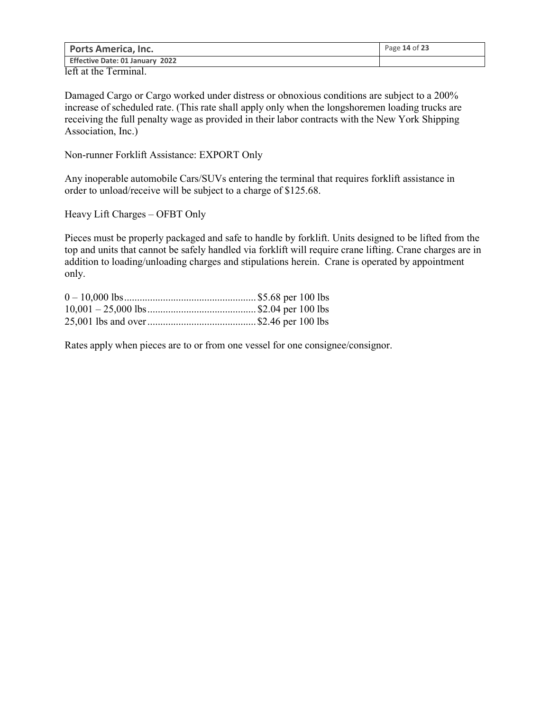| <b>Ports America, Inc.</b>         | Page 14 of 23 |
|------------------------------------|---------------|
| Effective Date: 01 January 2022    |               |
| $\sim$<br>$\overline{\phantom{a}}$ |               |

left at the Terminal.

Damaged Cargo or Cargo worked under distress or obnoxious conditions are subject to a 200% increase of scheduled rate. (This rate shall apply only when the longshoremen loading trucks are receiving the full penalty wage as provided in their labor contracts with the New York Shipping Association, Inc.)

Non-runner Forklift Assistance: EXPORT Only

Any inoperable automobile Cars/SUVs entering the terminal that requires forklift assistance in order to unload/receive will be subject to a charge of \$125.68.

Heavy Lift Charges – OFBT Only

Pieces must be properly packaged and safe to handle by forklift. Units designed to be lifted from the top and units that cannot be safely handled via forklift will require crane lifting. Crane charges are in addition to loading/unloading charges and stipulations herein. Crane is operated by appointment only.

Rates apply when pieces are to or from one vessel for one consignee/consignor.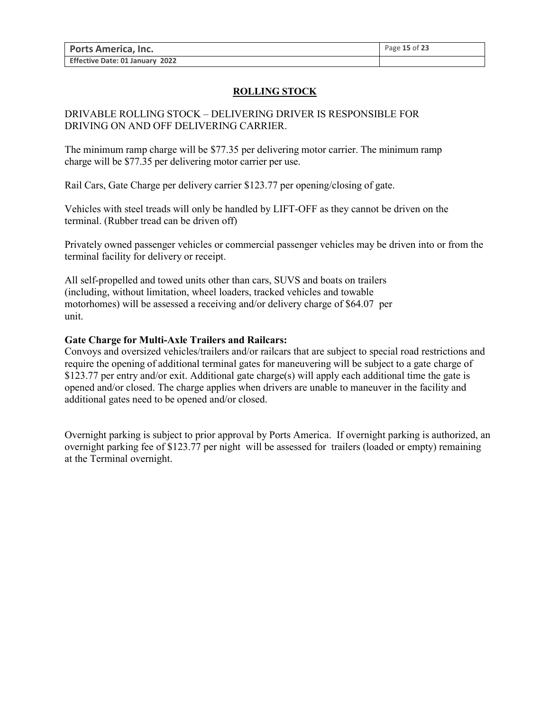# **ROLLING STOCK**

# DRIVABLE ROLLING STOCK – DELIVERING DRIVER IS RESPONSIBLE FOR DRIVING ON AND OFF DELIVERING CARRIER.

The minimum ramp charge will be \$77.35 per delivering motor carrier. The minimum ramp charge will be \$77.35 per delivering motor carrier per use.

Rail Cars, Gate Charge per delivery carrier \$123.77 per opening/closing of gate.

Vehicles with steel treads will only be handled by LIFT-OFF as they cannot be driven on the terminal. (Rubber tread can be driven off)

Privately owned passenger vehicles or commercial passenger vehicles may be driven into or from the terminal facility for delivery or receipt.

All self-propelled and towed units other than cars, SUVS and boats on trailers (including, without limitation, wheel loaders, tracked vehicles and towable motorhomes) will be assessed a receiving and/or delivery charge of \$64.07 per unit.

### **Gate Charge for Multi-Axle Trailers and Railcars:**

Convoys and oversized vehicles/trailers and/or railcars that are subject to special road restrictions and require the opening of additional terminal gates for maneuvering will be subject to a gate charge of \$123.77 per entry and/or exit. Additional gate charge(s) will apply each additional time the gate is opened and/or closed. The charge applies when drivers are unable to maneuver in the facility and additional gates need to be opened and/or closed.

Overnight parking is subject to prior approval by Ports America. If overnight parking is authorized, an overnight parking fee of \$123.77 per night will be assessed for trailers (loaded or empty) remaining at the Terminal overnight.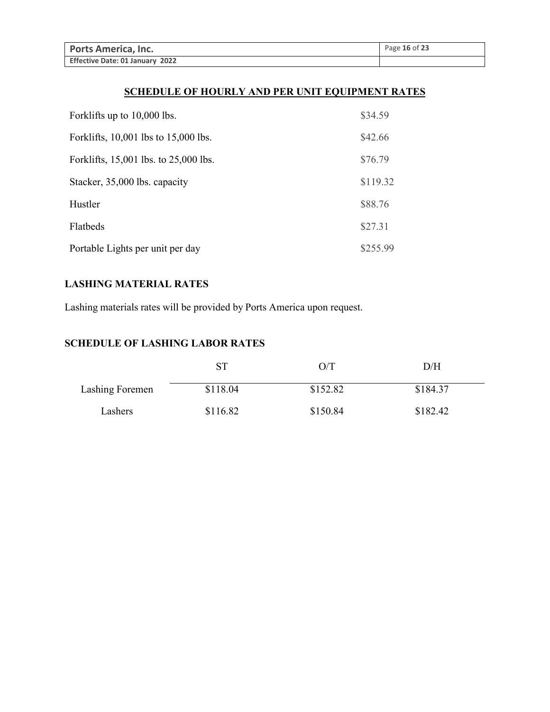| <b>Ports America, Inc.</b>      | Page 16 of 23 |
|---------------------------------|---------------|
| Effective Date: 01 January 2022 |               |

# **SCHEDULE OF HOURLY AND PER UNIT EQUIPMENT RATES**

| Forklifts up to 10,000 lbs.           | \$34.59  |
|---------------------------------------|----------|
| Forklifts, 10,001 lbs to 15,000 lbs.  | \$42.66  |
| Forklifts, 15,001 lbs. to 25,000 lbs. | \$76.79  |
| Stacker, 35,000 lbs. capacity         | \$119.32 |
| Hustler                               | \$88.76  |
| Flatbeds                              | \$27.31  |
| Portable Lights per unit per day      | \$255.99 |

# **LASHING MATERIAL RATES**

Lashing materials rates will be provided by Ports America upon request.

# **SCHEDULE OF LASHING LABOR RATES**

|                 | ST       | O/T      | D/H      |
|-----------------|----------|----------|----------|
| Lashing Foremen | \$118.04 | \$152.82 | \$184.37 |
| Lashers         | \$116.82 | \$150.84 | \$182.42 |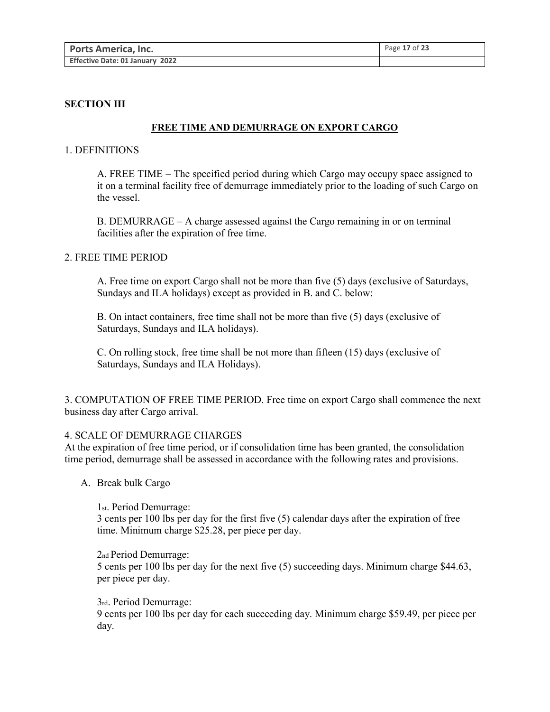### **SECTION III**

#### **FREE TIME AND DEMURRAGE ON EXPORT CARGO**

#### 1. DEFINITIONS

A. FREE TIME – The specified period during which Cargo may occupy space assigned to it on a terminal facility free of demurrage immediately prior to the loading of such Cargo on the vessel.

B. DEMURRAGE – A charge assessed against the Cargo remaining in or on terminal facilities after the expiration of free time.

### 2. FREE TIME PERIOD

A. Free time on export Cargo shall not be more than five (5) days (exclusive of Saturdays, Sundays and ILA holidays) except as provided in B. and C. below:

B. On intact containers, free time shall not be more than five (5) days (exclusive of Saturdays, Sundays and ILA holidays).

C. On rolling stock, free time shall be not more than fifteen (15) days (exclusive of Saturdays, Sundays and ILA Holidays).

3. COMPUTATION OF FREE TIME PERIOD. Free time on export Cargo shall commence the next business day after Cargo arrival.

#### 4. SCALE OF DEMURRAGE CHARGES

At the expiration of free time period, or if consolidation time has been granted, the consolidation time period, demurrage shall be assessed in accordance with the following rates and provisions.

A. Break bulk Cargo

1st. Period Demurrage: 3 cents per 100 lbs per day for the first five (5) calendar days after the expiration of free time. Minimum charge \$25.28, per piece per day.

2nd Period Demurrage: 5 cents per 100 lbs per day for the next five (5) succeeding days. Minimum charge \$44.63, per piece per day.

#### 3rd. Period Demurrage:

9 cents per 100 lbs per day for each succeeding day. Minimum charge \$59.49, per piece per day.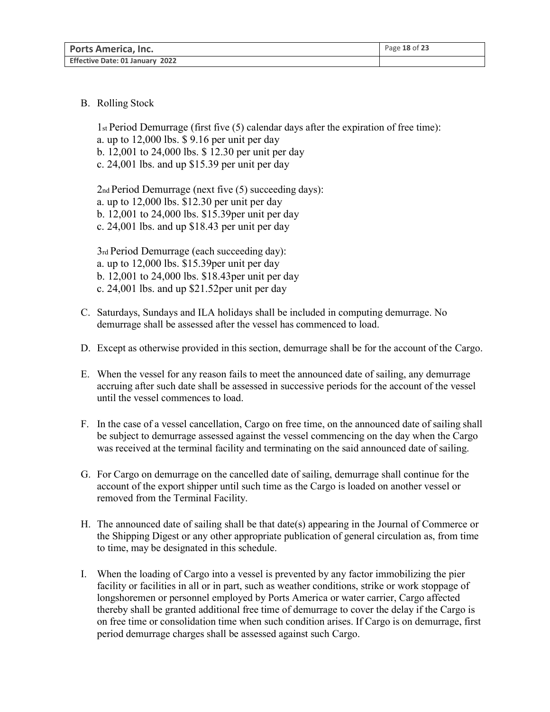| <b>Ports America, Inc.</b>      | Page 18 of 23 |
|---------------------------------|---------------|
| Effective Date: 01 January 2022 |               |

B. Rolling Stock

1st Period Demurrage (first five (5) calendar days after the expiration of free time): a. up to 12,000 lbs. \$ 9.16 per unit per day b. 12,001 to 24,000 lbs. \$ 12.30 per unit per day c. 24,001 lbs. and up \$15.39 per unit per day

2nd Period Demurrage (next five (5) succeeding days): a. up to 12,000 lbs. \$12.30 per unit per day b. 12,001 to 24,000 lbs. \$15.39per unit per day c. 24,001 lbs. and up \$18.43 per unit per day

3rd Period Demurrage (each succeeding day): a. up to 12,000 lbs. \$15.39per unit per day b. 12,001 to 24,000 lbs. \$18.43per unit per day c. 24,001 lbs. and up \$21.52per unit per day

- C. Saturdays, Sundays and ILA holidays shall be included in computing demurrage. No demurrage shall be assessed after the vessel has commenced to load.
- D. Except as otherwise provided in this section, demurrage shall be for the account of the Cargo.
- E. When the vessel for any reason fails to meet the announced date of sailing, any demurrage accruing after such date shall be assessed in successive periods for the account of the vessel until the vessel commences to load.
- F. In the case of a vessel cancellation, Cargo on free time, on the announced date of sailing shall be subject to demurrage assessed against the vessel commencing on the day when the Cargo was received at the terminal facility and terminating on the said announced date of sailing.
- G. For Cargo on demurrage on the cancelled date of sailing, demurrage shall continue for the account of the export shipper until such time as the Cargo is loaded on another vessel or removed from the Terminal Facility.
- H. The announced date of sailing shall be that date(s) appearing in the Journal of Commerce or the Shipping Digest or any other appropriate publication of general circulation as, from time to time, may be designated in this schedule.
- I. When the loading of Cargo into a vessel is prevented by any factor immobilizing the pier facility or facilities in all or in part, such as weather conditions, strike or work stoppage of longshoremen or personnel employed by Ports America or water carrier, Cargo affected thereby shall be granted additional free time of demurrage to cover the delay if the Cargo is on free time or consolidation time when such condition arises. If Cargo is on demurrage, first period demurrage charges shall be assessed against such Cargo.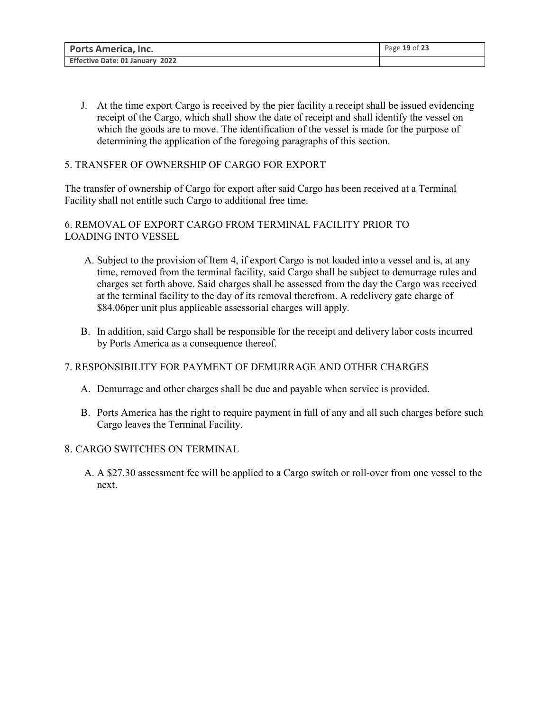| <b>Ports America, Inc.</b>      | Page 19 of 23 |
|---------------------------------|---------------|
| Effective Date: 01 January 2022 |               |

J. At the time export Cargo is received by the pier facility a receipt shall be issued evidencing receipt of the Cargo, which shall show the date of receipt and shall identify the vessel on which the goods are to move. The identification of the vessel is made for the purpose of determining the application of the foregoing paragraphs of this section.

# 5. TRANSFER OF OWNERSHIP OF CARGO FOR EXPORT

The transfer of ownership of Cargo for export after said Cargo has been received at a Terminal Facility shall not entitle such Cargo to additional free time.

# 6. REMOVAL OF EXPORT CARGO FROM TERMINAL FACILITY PRIOR TO LOADING INTO VESSEL

- A. Subject to the provision of Item 4, if export Cargo is not loaded into a vessel and is, at any time, removed from the terminal facility, said Cargo shall be subject to demurrage rules and charges set forth above. Said charges shall be assessed from the day the Cargo was received at the terminal facility to the day of its removal therefrom. A redelivery gate charge of \$84.06per unit plus applicable assessorial charges will apply.
- B. In addition, said Cargo shall be responsible for the receipt and delivery labor costs incurred by Ports America as a consequence thereof.

# 7. RESPONSIBILITY FOR PAYMENT OF DEMURRAGE AND OTHER CHARGES

- A. Demurrage and other charges shall be due and payable when service is provided.
- B. Ports America has the right to require payment in full of any and all such charges before such Cargo leaves the Terminal Facility.

# 8. CARGO SWITCHES ON TERMINAL

A. A \$27.30 assessment fee will be applied to a Cargo switch or roll-over from one vessel to the next.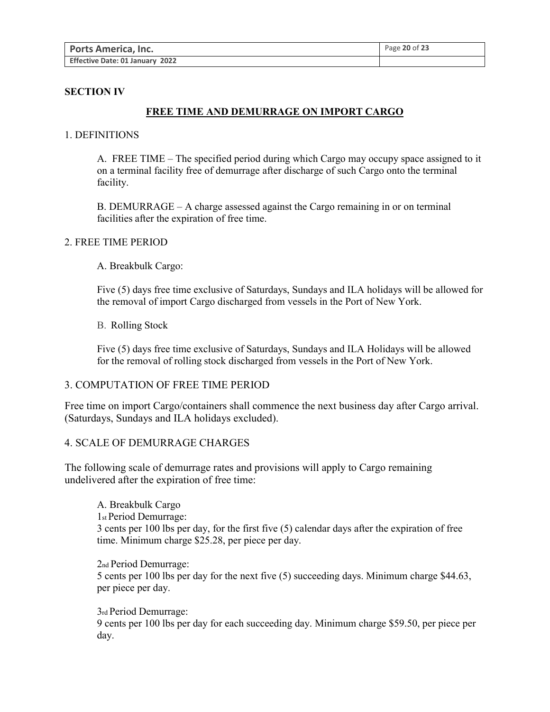| <b>Ports America, Inc.</b>      | Page 20 of 23 |
|---------------------------------|---------------|
| Effective Date: 01 January 2022 |               |

#### **SECTION IV**

### **FREE TIME AND DEMURRAGE ON IMPORT CARGO**

#### 1. DEFINITIONS

A. FREE TIME – The specified period during which Cargo may occupy space assigned to it on a terminal facility free of demurrage after discharge of such Cargo onto the terminal facility.

B. DEMURRAGE – A charge assessed against the Cargo remaining in or on terminal facilities after the expiration of free time.

#### 2. FREE TIME PERIOD

A. Breakbulk Cargo:

Five (5) days free time exclusive of Saturdays, Sundays and ILA holidays will be allowed for the removal of import Cargo discharged from vessels in the Port of New York.

B. Rolling Stock

Five (5) days free time exclusive of Saturdays, Sundays and ILA Holidays will be allowed for the removal of rolling stock discharged from vessels in the Port of New York.

#### 3. COMPUTATION OF FREE TIME PERIOD

Free time on import Cargo/containers shall commence the next business day after Cargo arrival. (Saturdays, Sundays and ILA holidays excluded).

#### 4. SCALE OF DEMURRAGE CHARGES

The following scale of demurrage rates and provisions will apply to Cargo remaining undelivered after the expiration of free time:

A. Breakbulk Cargo 1st Period Demurrage: 3 cents per 100 lbs per day, for the first five (5) calendar days after the expiration of free time. Minimum charge \$25.28, per piece per day.

2nd Period Demurrage: 5 cents per 100 lbs per day for the next five (5) succeeding days. Minimum charge \$44.63, per piece per day.

3rd Period Demurrage: 9 cents per 100 lbs per day for each succeeding day. Minimum charge \$59.50, per piece per day.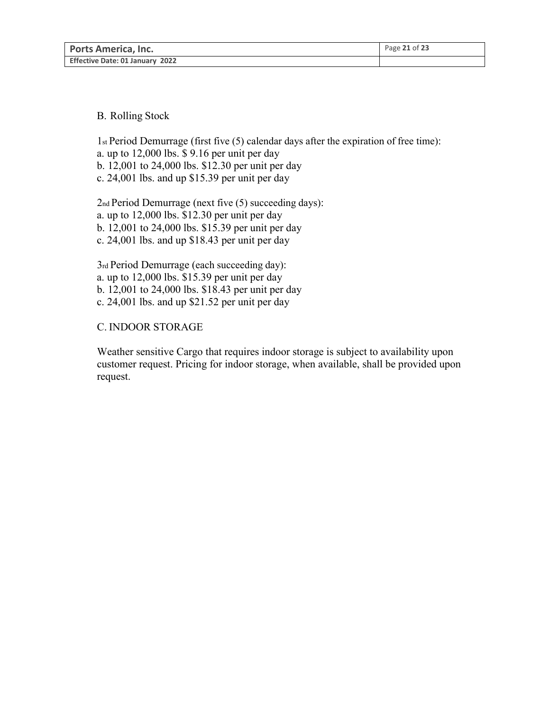| <b>Ports America, Inc.</b>      | Page 21 of 23 |
|---------------------------------|---------------|
| Effective Date: 01 January 2022 |               |

### B. Rolling Stock

1st Period Demurrage (first five (5) calendar days after the expiration of free time): a. up to 12,000 lbs. \$ 9.16 per unit per day b. 12,001 to 24,000 lbs. \$12.30 per unit per day c. 24,001 lbs. and up \$15.39 per unit per day

2nd Period Demurrage (next five (5) succeeding days): a. up to 12,000 lbs. \$12.30 per unit per day b. 12,001 to 24,000 lbs. \$15.39 per unit per day c. 24,001 lbs. and up \$18.43 per unit per day

3rd Period Demurrage (each succeeding day): a. up to 12,000 lbs. \$15.39 per unit per day b. 12,001 to 24,000 lbs. \$18.43 per unit per day c. 24,001 lbs. and up \$21.52 per unit per day

### C. INDOOR STORAGE

Weather sensitive Cargo that requires indoor storage is subject to availability upon customer request. Pricing for indoor storage, when available, shall be provided upon request.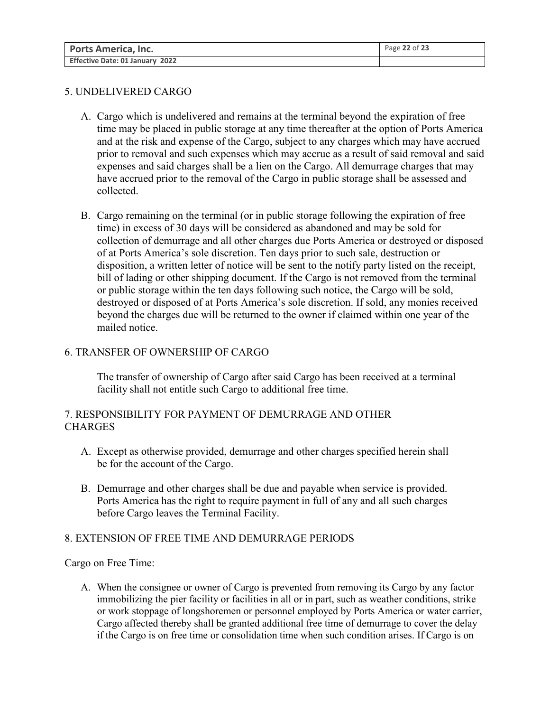| <b>Ports America, Inc.</b>      | Page 22 of 23 |
|---------------------------------|---------------|
| Effective Date: 01 January 2022 |               |

# 5. UNDELIVERED CARGO

- A. Cargo which is undelivered and remains at the terminal beyond the expiration of free time may be placed in public storage at any time thereafter at the option of Ports America and at the risk and expense of the Cargo, subject to any charges which may have accrued prior to removal and such expenses which may accrue as a result of said removal and said expenses and said charges shall be a lien on the Cargo. All demurrage charges that may have accrued prior to the removal of the Cargo in public storage shall be assessed and collected.
- B. Cargo remaining on the terminal (or in public storage following the expiration of free time) in excess of 30 days will be considered as abandoned and may be sold for collection of demurrage and all other charges due Ports America or destroyed or disposed of at Ports America's sole discretion. Ten days prior to such sale, destruction or disposition, a written letter of notice will be sent to the notify party listed on the receipt, bill of lading or other shipping document. If the Cargo is not removed from the terminal or public storage within the ten days following such notice, the Cargo will be sold, destroyed or disposed of at Ports America's sole discretion. If sold, any monies received beyond the charges due will be returned to the owner if claimed within one year of the mailed notice.

# 6. TRANSFER OF OWNERSHIP OF CARGO

The transfer of ownership of Cargo after said Cargo has been received at a terminal facility shall not entitle such Cargo to additional free time.

# 7. RESPONSIBILITY FOR PAYMENT OF DEMURRAGE AND OTHER **CHARGES**

- A. Except as otherwise provided, demurrage and other charges specified herein shall be for the account of the Cargo.
- B. Demurrage and other charges shall be due and payable when service is provided. Ports America has the right to require payment in full of any and all such charges before Cargo leaves the Terminal Facility.

### 8. EXTENSION OF FREE TIME AND DEMURRAGE PERIODS

Cargo on Free Time:

A. When the consignee or owner of Cargo is prevented from removing its Cargo by any factor immobilizing the pier facility or facilities in all or in part, such as weather conditions, strike or work stoppage of longshoremen or personnel employed by Ports America or water carrier, Cargo affected thereby shall be granted additional free time of demurrage to cover the delay if the Cargo is on free time or consolidation time when such condition arises. If Cargo is on